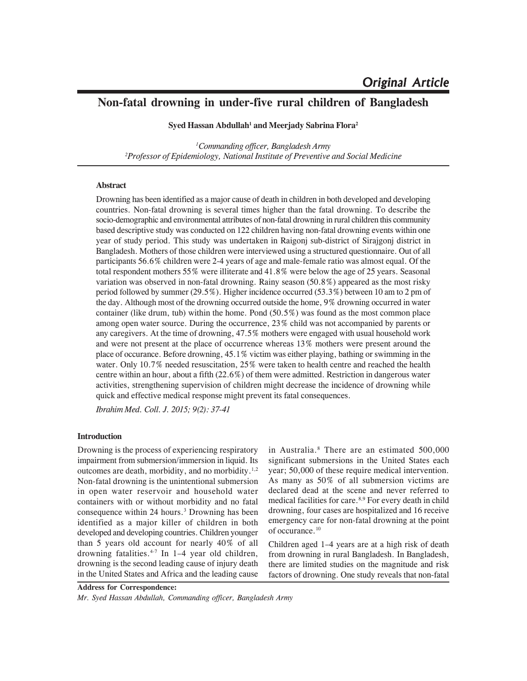# **Non-fatal drowning in under-five rural children of Bangladesh**

**Syed Hassan Abdullah1 and Meerjady Sabrina Flora2**

*1 Commanding officer, Bangladesh Army 2 Professor of Epidemiology, National Institute of Preventive and Social Medicine*

# **Abstract**

Drowning has been identified as a major cause of death in children in both developed and developing countries. Non-fatal drowning is several times higher than the fatal drowning. To describe the socio-demographic and environmental attributes of non-fatal drowning in rural children this community based descriptive study was conducted on 122 children having non-fatal drowning events within one year of study period. This study was undertaken in Raigonj sub-district of Sirajgonj district in Bangladesh. Mothers of those children were interviewed using a structured questionnaire. Out of all participants 56.6% children were 2-4 years of age and male-female ratio was almost equal. Of the total respondent mothers 55% were illiterate and 41.8% were below the age of 25 years. Seasonal variation was observed in non-fatal drowning. Rainy season (50.8%) appeared as the most risky period followed by summer (29.5%). Higher incidence occurred (53.3%) between 10 am to 2 pm of the day. Although most of the drowning occurred outside the home, 9% drowning occurred in water container (like drum, tub) within the home. Pond (50.5%) was found as the most common place among open water source. During the occurrence, 23% child was not accompanied by parents or any caregivers. At the time of drowning, 47.5% mothers were engaged with usual household work and were not present at the place of occurrence whereas 13% mothers were present around the place of occurance. Before drowning, 45.1% victim was either playing, bathing or swimming in the water. Only 10.7% needed resuscitation, 25% were taken to health centre and reached the health centre within an hour, about a fifth (22.6%) of them were admitted. Restriction in dangerous water activities, strengthening supervision of children might decrease the incidence of drowning while quick and effective medical response might prevent its fatal consequences.

*Ibrahim Med. Coll. J. 2015; 9(2): 37-41*

## **Introduction**

Drowning is the process of experiencing respiratory impairment from submersion/immersion in liquid. Its outcomes are death, morbidity, and no morbidity.<sup>1,2</sup> Non-fatal drowning is the unintentional submersion in open water reservoir and household water containers with or without morbidity and no fatal consequence within 24 hours.<sup>3</sup> Drowning has been identified as a major killer of children in both developed and developing countries. Children younger than 5 years old account for nearly 40% of all drowning fatalities.<sup>4-7</sup> In 1-4 year old children, drowning is the second leading cause of injury death in the United States and Africa and the leading cause

in Australia.8 There are an estimated 500,000 significant submersions in the United States each year; 50,000 of these require medical intervention. As many as 50% of all submersion victims are declared dead at the scene and never referred to medical facilities for care.8,9 For every death in child drowning, four cases are hospitalized and 16 receive emergency care for non-fatal drowning at the point of occurance.<sup>10</sup>

Children aged 1–4 years are at a high risk of death from drowning in rural Bangladesh. In Bangladesh, there are limited studies on the magnitude and risk factors of drowning. One study reveals that non-fatal

**Address for Correspondence:** *Mr. Syed Hassan Abdullah, Commanding officer, Bangladesh Army*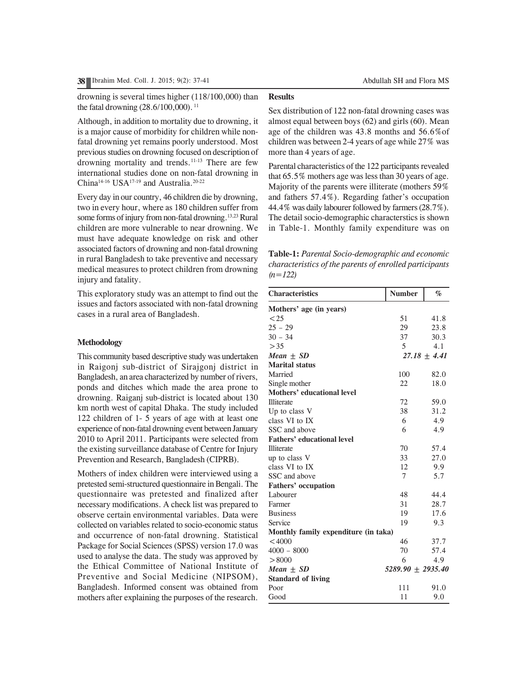drowning is several times higher (118/100,000) than the fatal drowning (28.6/100,000).<sup>11</sup>

Although, in addition to mortality due to drowning, it is a major cause of morbidity for children while nonfatal drowning yet remains poorly understood. Most previous studies on drowning focused on description of drowning mortality and trends.<sup>11-13</sup> There are few international studies done on non-fatal drowning in China<sup>14-16</sup> USA<sup>17-19</sup> and Australia.<sup>20-22</sup>

Every day in our country, 46 children die by drowning, two in every hour, where as 180 children suffer from some forms of injury from non-fatal drowning.<sup>13,23</sup> Rural children are more vulnerable to near drowning. We must have adequate knowledge on risk and other associated factors of drowning and non-fatal drowning in rural Bangladesh to take preventive and necessary medical measures to protect children from drowning injury and fatality.

This exploratory study was an attempt to find out the issues and factors associated with non-fatal drowning cases in a rural area of Bangladesh.

#### **Methodology**

This community based descriptive study was undertaken in Raigonj sub-district of Sirajgonj district in Bangladesh, an area characterized by number of rivers, ponds and ditches which made the area prone to drowning. Raiganj sub-district is located about 130 km north west of capital Dhaka. The study included 122 children of 1- 5 years of age with at least one experience of non-fatal drowning event between January 2010 to April 2011. Participants were selected from the existing surveillance database of Centre for Injury Prevention and Research, Bangladesh (CIPRB).

Mothers of index children were interviewed using a pretested semi-structured questionnaire in Bengali. The questionnaire was pretested and finalized after necessary modifications. A check list was prepared to observe certain environmental variables. Data were collected on variables related to socio-economic status and occurrence of non-fatal drowning. Statistical Package for Social Sciences (SPSS) version 17.0 was used to analyse the data. The study was approved by the Ethical Committee of National Institute of Preventive and Social Medicine (NIPSOM), Bangladesh. Informed consent was obtained from mothers after explaining the purposes of the research.

# **Results**

Sex distribution of 122 non-fatal drowning cases was almost equal between boys (62) and girls (60). Mean age of the children was 43.8 months and 56.6%of children was between 2-4 years of age while 27% was more than 4 years of age.

Parental characteristics of the 122 participants revealed that 65.5% mothers age was less than 30 years of age. Majority of the parents were illiterate (mothers 59% and fathers 57.4%). Regarding father's occupation 44.4% was daily labourer followed by farmers (28.7%). The detail socio-demographic characterstics is shown in Table-1. Monthly family expenditure was on

| Table-1: Parental Socio-demographic and economic        |
|---------------------------------------------------------|
| characteristics of the parents of enrolled participants |
| $(n=122)$                                               |

| <b>Characteristics</b>               | <b>Number</b>       | $\%$           |
|--------------------------------------|---------------------|----------------|
| Mothers' age (in years)              |                     |                |
| $\leq$ 25                            | 51                  | 41.8           |
| $25 - 29$                            | 29                  | 23.8           |
| $30 - 34$                            | 37                  | 30.3           |
| > 35                                 | 5                   | 4.1            |
| Mean $\pm$ SD                        |                     | $27.18 + 4.41$ |
| <b>Marital status</b>                |                     |                |
| Married                              | 100                 | 82.0           |
| Single mother                        | 22                  | 18.0           |
| Mothers' educational level           |                     |                |
| <b>Illiterate</b>                    | 72                  | 59.0           |
| Up to class V                        | 38                  | 31.2           |
| class VI to IX                       | 6                   | 4.9            |
| SSC and above                        | 6                   | 4.9            |
| <b>Fathers' educational level</b>    |                     |                |
| Illiterate                           | 70                  | 57.4           |
| up to class V                        | 33                  | 27.0           |
| class VI to IX                       | 12                  | 9.9            |
| SSC and above                        | 7                   | 5.7            |
| <b>Fathers' occupation</b>           |                     |                |
| Labourer                             | 48                  | 44.4           |
| Farmer                               | 31                  | 28.7           |
| <b>Business</b>                      | 19                  | 17.6           |
| Service                              | 19                  | 9.3            |
| Monthly family expenditure (in taka) |                     |                |
| < 4000                               | 46                  | 37.7           |
| $4000 - 8000$                        | 70                  | 57.4           |
| > 8000                               | 6                   | 4.9            |
| Mean $\pm$ SD                        | $5289.90 + 2935.40$ |                |
| <b>Standard of living</b>            |                     |                |
| Poor                                 | 111                 | 91.0           |
| Good                                 | 11                  | 9.0            |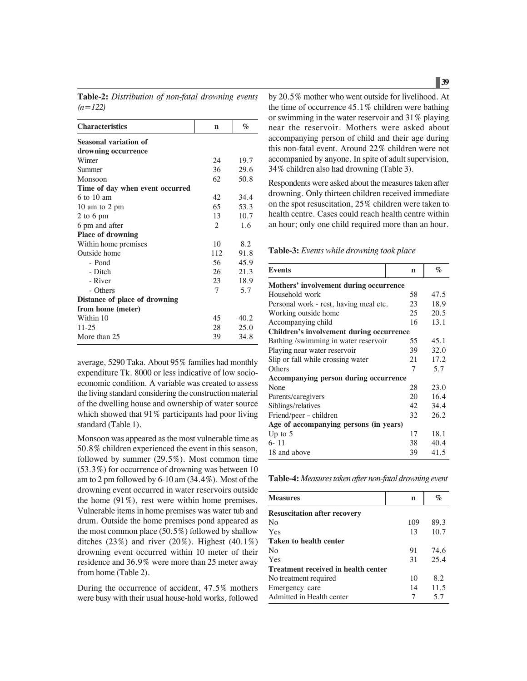**Table-2:** *Distribution of non-fatal drowning events (n=122)*

| <b>Characteristics</b>          | n              | $\%$ |
|---------------------------------|----------------|------|
| <b>Seasonal variation of</b>    |                |      |
| drowning occurrence             |                |      |
| Winter                          | 24             | 19.7 |
| Summer                          | 36             | 29.6 |
| Monsoon                         | 62             | 50.8 |
| Time of day when event occurred |                |      |
| $6 \text{ to } 10 \text{ am}$   | 42             | 34.4 |
| 10 am to 2 pm                   | 65             | 53.3 |
| 2 to 6 pm                       | 13             | 10.7 |
| 6 pm and after                  | $\overline{c}$ | 1.6  |
| <b>Place of drowning</b>        |                |      |
| Within home premises            | 10             | 8.2  |
| Outside home                    | 112            | 91.8 |
| - Pond                          | 56             | 45.9 |
| - Ditch                         | 26             | 21.3 |
| - River                         | 23             | 18.9 |
| - Others                        | 7              | 5.7  |
| Distance of place of drowning   |                |      |
| from home (meter)               |                |      |
| Within 10                       | 45             | 40.2 |
| $11 - 25$                       | 28             | 25.0 |
| More than 25                    | 39             | 34.8 |

average, 5290 Taka. About 95% families had monthly expenditure Tk. 8000 or less indicative of low socioeconomic condition. A variable was created to assess the living standard considering the construction material of the dwelling house and ownership of water source which showed that 91% participants had poor living standard (Table 1).

Monsoon was appeared as the most vulnerable time as 50.8% children experienced the event in this season, followed by summer (29.5%). Most common time (53.3%) for occurrence of drowning was between 10 am to 2 pm followed by 6-10 am (34.4%). Most of the drowning event occurred in water reservoirs outside the home (91%), rest were within home premises. Vulnerable items in home premises was water tub and drum. Outside the home premises pond appeared as the most common place  $(50.5\%)$  followed by shallow ditches  $(23\%)$  and river  $(20\%)$ . Highest  $(40.1\%)$ drowning event occurred within 10 meter of their residence and 36.9% were more than 25 meter away from home (Table 2).

During the occurrence of accident, 47.5% mothers were busy with their usual house-hold works, followed

by 20.5% mother who went outside for livelihood. At the time of occurrence 45.1% children were bathing or swimming in the water reservoir and 31% playing near the reservoir. Mothers were asked about accompanying person of child and their age during this non-fatal event. Around 22% children were not accompanied by anyone. In spite of adult supervision, 34% children also had drowning (Table 3).

Respondents were asked about the measures taken after drowning. Only thirteen children received immediate on the spot resuscitation, 25% children were taken to health centre. Cases could reach health centre within an hour; only one child required more than an hour.

**Table-3:** *Events while drowning took place*

| <b>Events</b>                            | $\mathbf n$ | $\%$ |  |
|------------------------------------------|-------------|------|--|
| Mothers' involvement during occurrence   |             |      |  |
| Household work                           | 58          | 47.5 |  |
| Personal work - rest, having meal etc.   | 23          | 18.9 |  |
| Working outside home                     | 25          | 20.5 |  |
| Accompanying child                       | 16          | 13.1 |  |
| Children's involvement during occurrence |             |      |  |
| Bathing /swimming in water reservoir     | 55          | 45.1 |  |
| Playing near water reservoir             | 39          | 32.0 |  |
| Slip or fall while crossing water        | 21          | 17.2 |  |
| Others                                   | 7           | 5.7  |  |
| Accompanying person during occurrence    |             |      |  |
| None                                     | 28          | 23.0 |  |
| Parents/caregivers                       | 20          | 16.4 |  |
| Siblings/relatives                       | 42          | 34.4 |  |
| Friend/peer – children                   | 32          | 26.2 |  |
| Age of accompanying persons (in years)   |             |      |  |
| Up to $5$                                | 17          | 18.1 |  |
| 6-11                                     | 38          | 40.4 |  |
| 18 and above                             | 39          | 41.5 |  |

**Table-4:** *Measures taken after non-fatal drowning event*

| <b>Measures</b>                     | n   | $\%$ |
|-------------------------------------|-----|------|
| <b>Resuscitation after recovery</b> |     |      |
| No                                  | 109 | 89.3 |
| Yes                                 | 13  | 10.7 |
| Taken to health center              |     |      |
| No                                  | 91  | 74.6 |
| Yes                                 | 31  | 25.4 |
| Treatment received in health center |     |      |
| No treatment required               | 10  | 8.2  |
| Emergency care                      | 14  | 11.5 |
| Admitted in Health center           | 7   | 5.7  |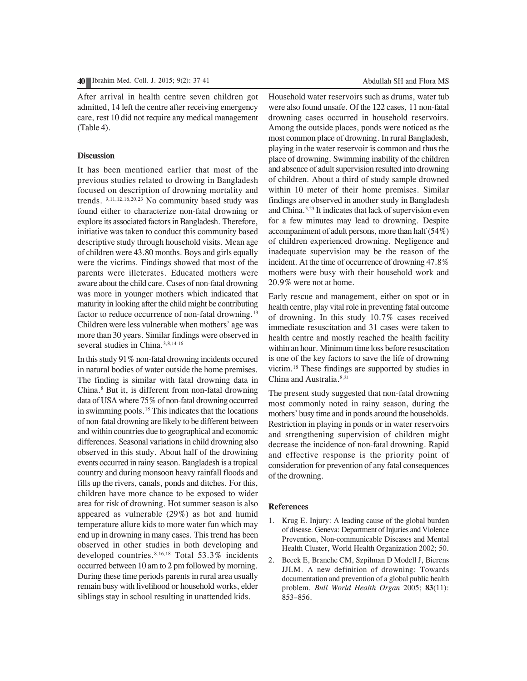After arrival in health centre seven children got admitted, 14 left the centre after receiving emergency care, rest 10 did not require any medical management (Table 4).

## **Discussion**

It has been mentioned earlier that most of the previous studies related to drowing in Bangladesh focused on description of drowning mortality and trends. 9,11,12,16,20,23 No community based study was found either to characterize non-fatal drowning or explore its associated factors in Bangladesh. Therefore, initiative was taken to conduct this community based descriptive study through household visits. Mean age of children were 43.80 months. Boys and girls equally were the victims. Findings showed that most of the parents were illeterates. Educated mothers were aware about the child care. Cases of non-fatal drowning was more in younger mothers which indicated that maturity in looking after the child might be contributing factor to reduce occurrence of non-fatal drowning.<sup>13</sup> Children were less vulnerable when mothers' age was more than 30 years. Similar findings were observed in several studies in China.<sup>3,8,14-16</sup>

In this study 91% non-fatal drowning incidents occured in natural bodies of water outside the home premises. The finding is similar with fatal drowning data in China.8 But it, is different from non-fatal drowning data of USA where 75% of non-fatal drowning occurred in swimming pools.<sup>18</sup> This indicates that the locations of non-fatal drowning are likely to be different between and within countries due to geographical and economic differences. Seasonal variations in child drowning also observed in this study. About half of the drowining events occurred in rainy season. Bangladesh is a tropical country and during monsoon heavy rainfall floods and fills up the rivers, canals, ponds and ditches. For this, children have more chance to be exposed to wider area for risk of drowning. Hot summer season is also appeared as vulnerable (29%) as hot and humid temperature allure kids to more water fun which may end up in drowning in many cases. This trend has been observed in other studies in both developing and developed countries.<sup>8,16,18</sup> Total 53.3% incidents occurred between 10 am to 2 pm followed by morning. During these time periods parents in rural area usually remain busy with livelihood or household works, elder siblings stay in school resulting in unattended kids.

Household water reservoirs such as drums, water tub were also found unsafe. Of the 122 cases, 11 non-fatal drowning cases occurred in household reservoirs. Among the outside places, ponds were noticed as the most common place of drowning. In rural Bangladesh, playing in the water reservoir is common and thus the place of drowning. Swimming inability of the children and absence of adult supervision resulted into drowning of children. About a third of study sample drowned within 10 meter of their home premises. Similar findings are observed in another study in Bangladesh and China.3,23 It indicates that lack of supervision even for a few minutes may lead to drowning. Despite accompaniment of adult persons, more than half (54%) of children experienced drowning. Negligence and inadequate supervision may be the reason of the incident. At the time of occurrence of drowning 47.8% mothers were busy with their household work and 20.9% were not at home.

Early rescue and management, either on spot or in health centre, play vital role in preventing fatal outcome of drowning. In this study 10.7% cases received immediate resuscitation and 31 cases were taken to health centre and mostly reached the health facility within an hour. Minimum time loss before resuscitation is one of the key factors to save the life of drowning victim.18 These findings are supported by studies in China and Australia.<sup>8,21</sup>

The present study suggested that non-fatal drowning most commonly noted in rainy season, during the mothers' busy time and in ponds around the households. Restriction in playing in ponds or in water reservoirs and strengthening supervision of children might decrease the incidence of non-fatal drowning. Rapid and effective response is the priority point of consideration for prevention of any fatal consequences of the drowning.

## **References**

- 1. Krug E. Injury: A leading cause of the global burden of disease. Geneva: Department of Injuries and Violence Prevention, Non-communicable Diseases and Mental Health Cluster, World Health Organization 2002; 50.
- 2. Beeck E, Branche CM, Szpilman D Modell J, Bierens JJLM. A new definition of drowning: Towards documentation and prevention of a global public health problem. *Bull World Health Organ* 2005; **83**(11): 853–856.